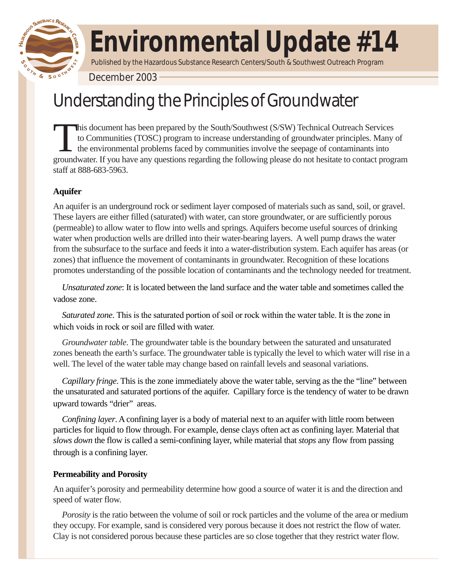

# **Environmental Update #14**

Published by the Hazardous Substance Research Centers/South & Southwest Outreach Program

December 2003

# Understanding the Principles of Groundwater

This document has been prepared by the South/Southwest (S/SW) Technical Outreach Services to Communities (TOSC) program to increase understanding of groundwater principles. Many of the environmental problems faced by communities involve the seepage of contaminants into groundwater. If you have any questions regarding the following please do not hesitate to contact program staff at 888-683-5963.

# **Aquifer**

An aquifer is an underground rock or sediment layer composed of materials such as sand, soil, or gravel. These layers are either filled (saturated) with water, can store groundwater, or are sufficiently porous (permeable) to allow water to flow into wells and springs. Aquifers become useful sources of drinking water when production wells are drilled into their water-bearing layers. A well pump draws the water from the subsurface to the surface and feeds it into a water-distribution system. Each aquifer has areas (or zones) that influence the movement of contaminants in groundwater. Recognition of these locations promotes understanding of the possible location of contaminants and the technology needed for treatment.

*Unsaturated zone*: It is located between the land surface and the water table and sometimes called the vadose zone.

*Saturated zone*. This is the saturated portion of soil or rock within the water table. It is the zone in which voids in rock or soil are filled with water.

*Groundwater table*. The groundwater table is the boundary between the saturated and unsaturated zones beneath the earth's surface. The groundwater table is typically the level to which water will rise in a well. The level of the water table may change based on rainfall levels and seasonal variations.

*Capillary fringe*. This is the zone immediately above the water table, serving as the the "line" between the unsaturated and saturated portions of the aquifer. Capillary force is the tendency of water to be drawn upward towards "drier" areas.

*Confining layer*. A confining layer is a body of material next to an aquifer with little room between particles for liquid to flow through. For example, dense clays often act as confining layer. Material that *slows down* the flow is called a semi-confining layer, while material that *stops* any flow from passing through is a confining layer.

## **Permeability and Porosity**

An aquifer's porosity and permeability determine how good a source of water it is and the direction and speed of water flow.

*Porosity* is the ratio between the volume of soil or rock particles and the volume of the area or medium they occupy. For example, sand is considered very porous because it does not restrict the flow of water. Clay is not considered porous because these particles are so close together that they restrict water flow.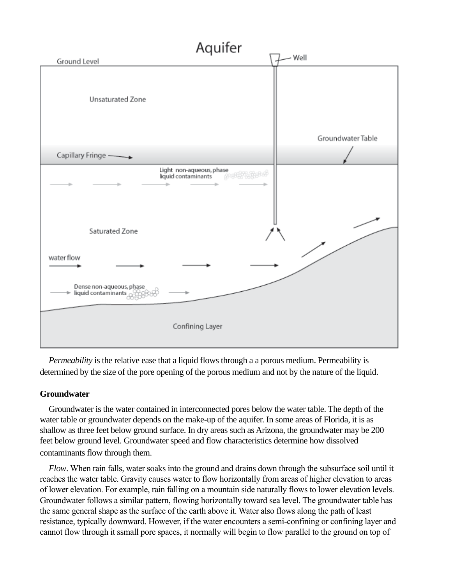

*Permeability* is the relative ease that a liquid flows through a a porous medium. Permeability is determined by the size of the pore opening of the porous medium and not by the nature of the liquid.

### **Groundwater**

Groundwater is the water contained in interconnected pores below the water table. The depth of the water table or groundwater depends on the make-up of the aquifer. In some areas of Florida, it is as shallow as three feet below ground surface. In dry areas such as Arizona, the groundwater may be 200 feet below ground level. Groundwater speed and flow characteristics determine how dissolved contaminants flow through them.

*Flow*. When rain falls, water soaks into the ground and drains down through the subsurface soil until it reaches the water table. Gravity causes water to flow horizontally from areas of higher elevation to areas of lower elevation. For example, rain falling on a mountain side naturally flows to lower elevation levels. Groundwater follows a similar pattern, flowing horizontally toward sea level. The groundwater table has the same general shape as the surface of the earth above it. Water also flows along the path of least resistance, typically downward. However, if the water encounters a semi-confining or confining layer and cannot flow through it ssmall pore spaces, it normally will begin to flow parallel to the ground on top of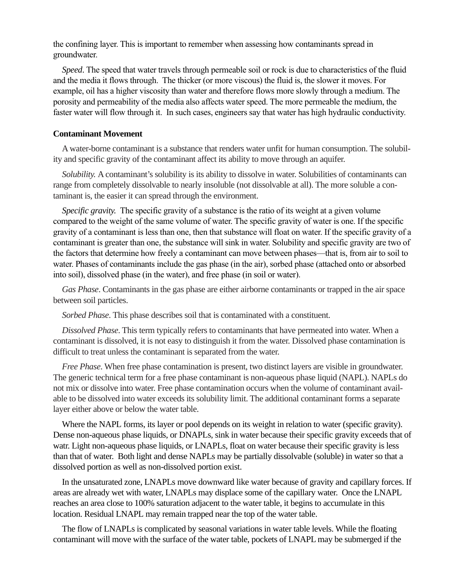the confining layer. This is important to remember when assessing how contaminants spread in groundwater.

*Speed*. The speed that water travels through permeable soil or rock is due to characteristics of the fluid and the media it flows through. The thicker (or more viscous) the fluid is, the slower it moves. For example, oil has a higher viscosity than water and therefore flows more slowly through a medium. The porosity and permeability of the media also affects water speed. The more permeable the medium, the faster water will flow through it. In such cases, engineers say that water has high hydraulic conductivity.

#### **Contaminant Movement**

A water-borne contaminant is a substance that renders water unfit for human consumption. The solubility and specific gravity of the contaminant affect its ability to move through an aquifer.

*Solubility.* A contaminant's solubility is its ability to dissolve in water. Solubilities of contaminants can range from completely dissolvable to nearly insoluble (not dissolvable at all). The more soluble a contaminant is, the easier it can spread through the environment.

*Specific gravity.* The specific gravity of a substance is the ratio of its weight at a given volume compared to the weight of the same volume of water. The specific gravity of water is one. If the specific gravity of a contaminant is less than one, then that substance will float on water. If the specific gravity of a contaminant is greater than one, the substance will sink in water. Solubility and specific gravity are two of the factors that determine how freely a contaminant can move between phases—that is, from air to soil to water. Phases of contaminants include the gas phase (in the air), sorbed phase (attached onto or absorbed into soil), dissolved phase (in the water), and free phase (in soil or water).

*Gas Phase*. Contaminants in the gas phase are either airborne contaminants or trapped in the air space between soil particles.

*Sorbed Phase*. This phase describes soil that is contaminated with a constituent.

*Dissolved Phase*. This term typically refers to contaminants that have permeated into water. When a contaminant is dissolved, it is not easy to distinguish it from the water. Dissolved phase contamination is difficult to treat unless the contaminant is separated from the water.

*Free Phase*. When free phase contamination is present, two distinct layers are visible in groundwater. The generic technical term for a free phase contaminant is non-aqueous phase liquid (NAPL). NAPLs do not mix or dissolve into water. Free phase contamination occurs when the volume of contaminant available to be dissolved into water exceeds its solubility limit. The additional contaminant forms a separate layer either above or below the water table.

Where the NAPL forms, its layer or pool depends on its weight in relation to water (specific gravity). Dense non-aqueous phase liquids, or DNAPLs, sink in water because their specific gravity exceeds that of watr. Light non-aqueous phase liquids, or LNAPLs, float on water because their specific gravity is less than that of water. Both light and dense NAPLs may be partially dissolvable (soluble) in water so that a dissolved portion as well as non-dissolved portion exist.

In the unsaturated zone, LNAPLs move downward like water because of gravity and capillary forces. If areas are already wet with water, LNAPLs may displace some of the capillary water. Once the LNAPL reaches an area close to 100% saturation adjacent to the water table, it begins to accumulate in this location. Residual LNAPL may remain trapped near the top of the water table.

The flow of LNAPLs is complicated by seasonal variations in water table levels. While the floating contaminant will move with the surface of the water table, pockets of LNAPL may be submerged if the